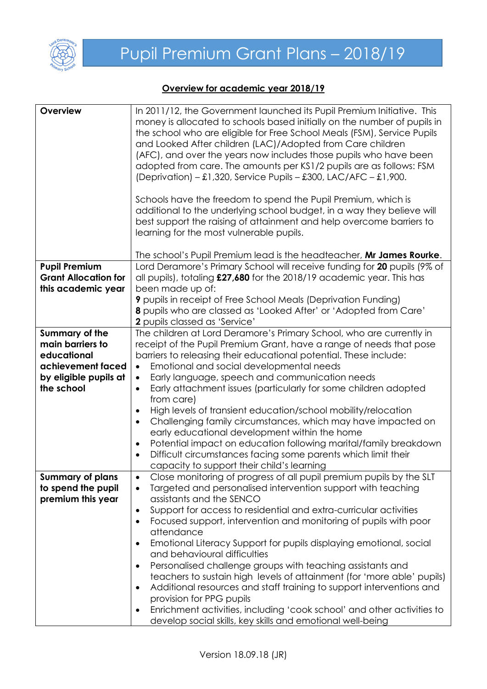

## **Overview for academic year 2018/19**

| Overview                    | In 2011/12, the Government launched its Pupil Premium Initiative. This                                                                         |
|-----------------------------|------------------------------------------------------------------------------------------------------------------------------------------------|
|                             | money is allocated to schools based initially on the number of pupils in                                                                       |
|                             | the school who are eligible for Free School Meals (FSM), Service Pupils                                                                        |
|                             | and Looked After children (LAC)/Adopted from Care children                                                                                     |
|                             | (AFC), and over the years now includes those pupils who have been                                                                              |
|                             | adopted from care. The amounts per KS1/2 pupils are as follows: FSM                                                                            |
|                             | (Deprivation) – £1,320, Service Pupils – £300, LAC/AFC – £1,900.                                                                               |
|                             |                                                                                                                                                |
|                             | Schools have the freedom to spend the Pupil Premium, which is                                                                                  |
|                             | additional to the underlying school budget, in a way they believe will                                                                         |
|                             | best support the raising of attainment and help overcome barriers to                                                                           |
|                             | learning for the most vulnerable pupils.                                                                                                       |
|                             |                                                                                                                                                |
|                             | The school's Pupil Premium lead is the headteacher, Mr James Rourke.                                                                           |
| <b>Pupil Premium</b>        | Lord Deramore's Primary School will receive funding for 20 pupils (9% of                                                                       |
| <b>Grant Allocation for</b> | all pupils), totaling £27,680 for the 2018/19 academic year. This has                                                                          |
| this academic year          | been made up of:                                                                                                                               |
|                             | <b>9</b> pupils in receipt of Free School Meals (Deprivation Funding)                                                                          |
|                             | 8 pupils who are classed as 'Looked After' or 'Adopted from Care'                                                                              |
|                             | 2 pupils classed as 'Service'                                                                                                                  |
| <b>Summary of the</b>       | The children at Lord Deramore's Primary School, who are currently in                                                                           |
| main barriers to            | receipt of the Pupil Premium Grant, have a range of needs that pose                                                                            |
| educational                 | barriers to releasing their educational potential. These include:                                                                              |
| achievement faced           | Emotional and social developmental needs<br>$\bullet$                                                                                          |
| by eligible pupils at       | Early language, speech and communication needs<br>$\bullet$                                                                                    |
| the school                  | Early attachment issues (particularly for some children adopted<br>$\bullet$                                                                   |
|                             | from care)                                                                                                                                     |
|                             | High levels of transient education/school mobility/relocation<br>$\bullet$                                                                     |
|                             | Challenging family circumstances, which may have impacted on<br>$\bullet$                                                                      |
|                             | early educational development within the home                                                                                                  |
|                             | Potential impact on education following marital/family breakdown<br>$\bullet$                                                                  |
|                             | Difficult circumstances facing some parents which limit their<br>$\bullet$                                                                     |
|                             | capacity to support their child's learning                                                                                                     |
| <b>Summary of plans</b>     | Close monitoring of progress of all pupil premium pupils by the SLT<br>$\bullet$                                                               |
| to spend the pupil          | Targeted and personalised intervention support with teaching<br>$\bullet$                                                                      |
| premium this year           | assistants and the SENCO                                                                                                                       |
|                             | Support for access to residential and extra-curricular activities<br>$\bullet$                                                                 |
|                             | Focused support, intervention and monitoring of pupils with poor<br>$\bullet$<br>attendance                                                    |
|                             |                                                                                                                                                |
|                             | Emotional Literacy Support for pupils displaying emotional, social<br>$\bullet$<br>and behavioural difficulties                                |
|                             |                                                                                                                                                |
|                             | Personalised challenge groups with teaching assistants and<br>$\bullet$                                                                        |
|                             | teachers to sustain high levels of attainment (for 'more able' pupils)<br>Additional resources and staff training to support interventions and |
|                             | $\bullet$<br>provision for PPG pupils                                                                                                          |
|                             | Enrichment activities, including 'cook school' and other activities to                                                                         |
|                             | $\bullet$<br>develop social skills, key skills and emotional well-being                                                                        |
|                             |                                                                                                                                                |